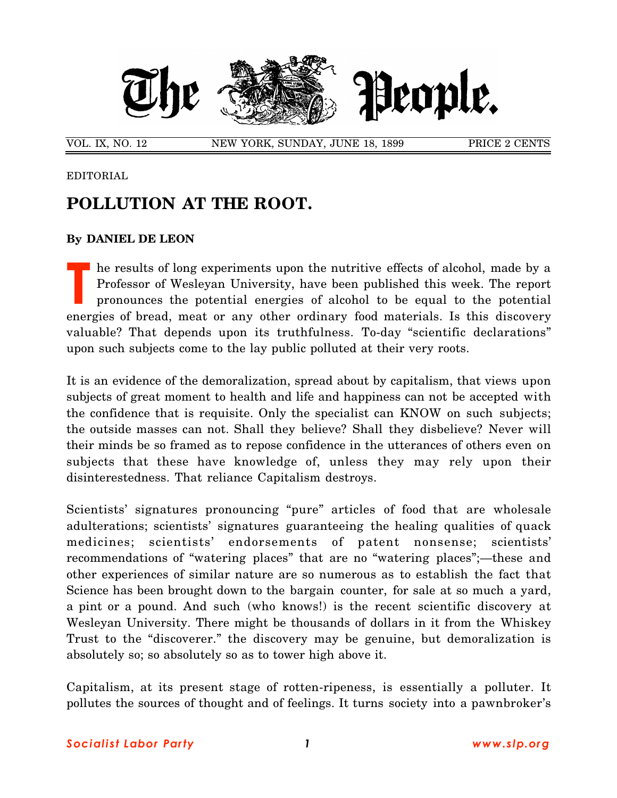

EDITORIAL

## **POLLUTION AT THE ROOT.**

## **By DANIEL DE LEON**

he results of long experiments upon the nutritive effects of alcohol, made by a Professor of Wesleyan University, have been published this week. The report pronounces the potential energies of alcohol to be equal to the potential energies of bread, meat or any other ordinary food materials. Is this discovery valuable? That depends upon its truthfulness. To-day "scientific declarations" upon such subjects come to the lay public polluted at their very roots. **T**

It is an evidence of the demoralization, spread about by capitalism, that views upon subjects of great moment to health and life and happiness can not be accepted with the confidence that is requisite. Only the specialist can KNOW on such subjects; the outside masses can not. Shall they believe? Shall they disbelieve? Never will their minds be so framed as to repose confidence in the utterances of others even on subjects that these have knowledge of, unless they may rely upon their disinterestedness. That reliance Capitalism destroys.

Scientists' signatures pronouncing "pure" articles of food that are wholesale adulterations; scientists' signatures guaranteeing the healing qualities of quack medicines; scientists' endorsements of patent nonsense; scientists' recommendations of "watering places" that are no "watering places";—these and other experiences of similar nature are so numerous as to establish the fact that Science has been brought down to the bargain counter, for sale at so much a yard, a pint or a pound. And such (who knows!) is the recent scientific discovery at Wesleyan University. There might be thousands of dollars in it from the Whiskey Trust to the "discoverer." the discovery may be genuine, but demoralization is absolutely so; so absolutely so as to tower high above it.

Capitalism, at its present stage of rotten-ripeness, is essentially a polluter. It pollutes the sources of thought and of feelings. It turns society into a pawnbroker's